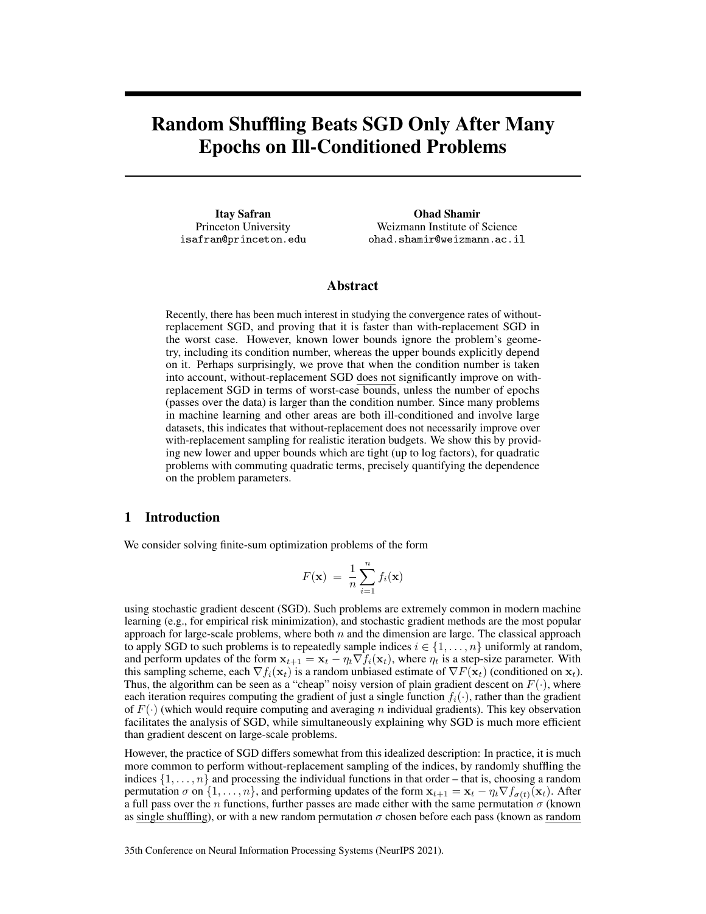# Random Shuffling Beats SGD Only After Many Epochs on Ill-Conditioned Problems

Itay Safran Princeton University isafran@princeton.edu

Ohad Shamir Weizmann Institute of Science ohad.shamir@weizmann.ac.il

#### Abstract

Recently, there has been much interest in studying the convergence rates of withoutreplacement SGD, and proving that it is faster than with-replacement SGD in the worst case. However, known lower bounds ignore the problem's geometry, including its condition number, whereas the upper bounds explicitly depend on it. Perhaps surprisingly, we prove that when the condition number is taken into account, without-replacement SGD does not significantly improve on withreplacement SGD in terms of worst-case bounds, unless the number of epochs (passes over the data) is larger than the condition number. Since many problems in machine learning and other areas are both ill-conditioned and involve large datasets, this indicates that without-replacement does not necessarily improve over with-replacement sampling for realistic iteration budgets. We show this by providing new lower and upper bounds which are tight (up to log factors), for quadratic problems with commuting quadratic terms, precisely quantifying the dependence on the problem parameters.

#### 1 Introduction

We consider solving finite-sum optimization problems of the form

$$
F(\mathbf{x}) = \frac{1}{n} \sum_{i=1}^{n} f_i(\mathbf{x})
$$

using stochastic gradient descent (SGD). Such problems are extremely common in modern machine learning (e.g., for empirical risk minimization), and stochastic gradient methods are the most popular approach for large-scale problems, where both  $n$  and the dimension are large. The classical approach to apply SGD to such problems is to repeatedly sample indices  $i \in \{1, \ldots, n\}$  uniformly at random, and perform updates of the form  $x_{t+1} = x_t - \eta_t \nabla f_i(x_t)$ , where  $\eta_t$  is a step-size parameter. With this sampling scheme, each  $\nabla f_i(\mathbf{x}_t)$  is a random unbiased estimate of  $\nabla F(\mathbf{x}_t)$  (conditioned on  $\mathbf{x}_t$ ). Thus, the algorithm can be seen as a "cheap" noisy version of plain gradient descent on  $F(\cdot)$ , where each iteration requires computing the gradient of just a single function  $f_i(\cdot)$ , rather than the gradient of  $F(\cdot)$  (which would require computing and averaging n individual gradients). This key observation facilitates the analysis of SGD, while simultaneously explaining why SGD is much more efficient than gradient descent on large-scale problems.

However, the practice of SGD differs somewhat from this idealized description: In practice, it is much more common to perform without-replacement sampling of the indices, by randomly shuffling the indices  $\{1, \ldots, n\}$  and processing the individual functions in that order – that is, choosing a random permutation  $\sigma$  on  $\{1,\ldots,n\}$ , and performing updates of the form  $\mathbf{x}_{t+1} = \mathbf{x}_t - \eta_t \nabla f_{\sigma(t)}(\mathbf{x}_t)$ . After a full pass over the *n* functions, further passes are made either with the same permutation  $\sigma$  (known as single shuffling), or with a new random permutation  $\sigma$  chosen before each pass (known as random

35th Conference on Neural Information Processing Systems (NeurIPS 2021).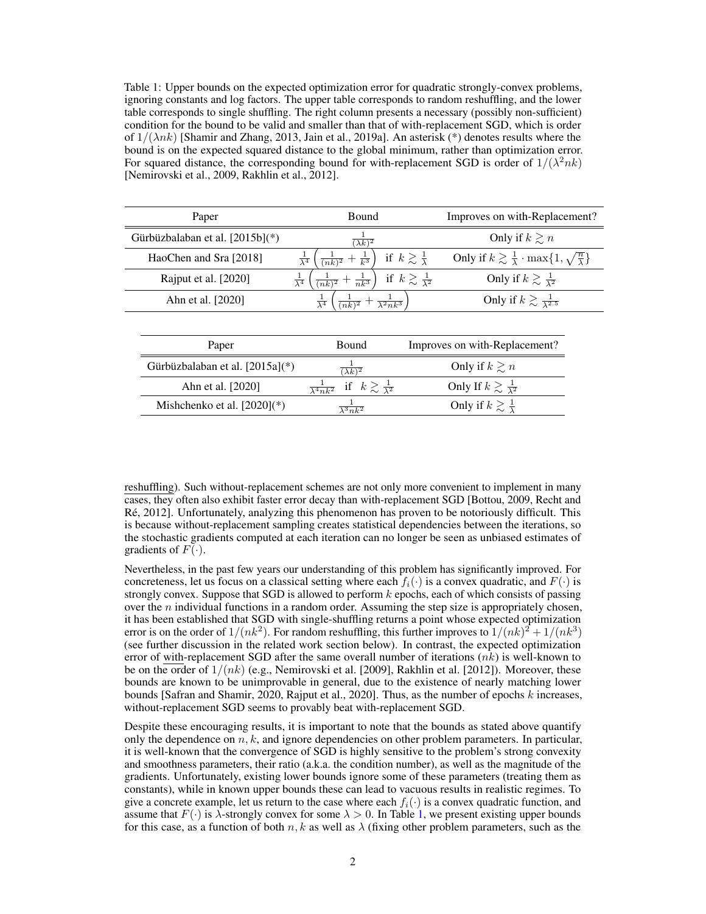Table 1: Upper bounds on the expected optimization error for quadratic strongly-convex problems, ignoring constants and log factors. The upper table corresponds to random reshuffling, and the lower table corresponds to single shuffling. The right column presents a necessary (possibly non-sufficient) condition for the bound to be valid and smaller than that of with-replacement SGD, which is order of  $1/(\lambda nk)$  [Shamir and Zhang, 2013, Jain et al., 2019a]. An asterisk (\*) denotes results where the bound is on the expected squared distance to the global minimum, rather than optimization error. For squared distance, the corresponding bound for with-replacement SGD is order of  $1/(\lambda^2 n k)$ [Nemirovski et al., 2009, Rakhlin et al., 2012].

| Paper                           | Bound                                                                  | Improves on with-Replacement?                                                                                       |  |
|---------------------------------|------------------------------------------------------------------------|---------------------------------------------------------------------------------------------------------------------|--|
| Gürbüzbalaban et al. [2015b](*) | $(\lambda k)^2$                                                        | Only if $k \geq n$                                                                                                  |  |
| HaoChen and Sra [2018]          | $\frac{1}{(nk)^2} + \frac{1}{k^3}$<br>$\frac{1}{\lambda^4}$            | Only if $k \gtrsim \frac{1}{\lambda} \cdot \max\{1, \sqrt{\frac{n}{\lambda}}\}$<br>if $k \gtrsim \frac{1}{\lambda}$ |  |
| Rajput et al. [2020]            | $\frac{1}{\lambda^4}$<br>$\frac{1}{nk^3}$<br>$\frac{1}{(nk)^2} +$      | if $k \gtrsim \frac{1}{\lambda^2}$<br>Only if $k \gtrsim \frac{1}{\lambda^2}$                                       |  |
| Ahn et al. [2020]               | $\frac{1}{(nk)^2} + \frac{1}{\lambda^2 nk^3}$<br>$\frac{1}{\lambda^4}$ | Only if $k \gtrsim \frac{1}{\lambda^{2.5}}$                                                                         |  |
|                                 |                                                                        |                                                                                                                     |  |
| Paper                           | Bound                                                                  | Improves on with-Replacement?                                                                                       |  |
| Gürbüzbalaban et al. [2015a](*) | $(\lambda k)^2$                                                        | Only if $k \geq n$                                                                                                  |  |
| Ahn et al. [2020]               | if $k \gtrsim \frac{1}{\lambda^2}$<br>$rac{1}{\lambda^4 n k^2}$        | Only If $k \gtrsim \frac{1}{\lambda^2}$                                                                             |  |
| Mishchenko et al. $[2020](*)$   | $\overline{\lambda^3 n k^2}$                                           | Only if $k \gtrsim \frac{1}{\lambda}$                                                                               |  |
|                                 |                                                                        |                                                                                                                     |  |

reshuffling). Such without-replacement schemes are not only more convenient to implement in many cases, they often also exhibit faster error decay than with-replacement SGD [Bottou, 2009, Recht and Ré, 2012]. Unfortunately, analyzing this phenomenon has proven to be notoriously difficult. This is because without-replacement sampling creates statistical dependencies between the iterations, so the stochastic gradients computed at each iteration can no longer be seen as unbiased estimates of gradients of  $F(\cdot)$ .

Nevertheless, in the past few years our understanding of this problem has significantly improved. For concreteness, let us focus on a classical setting where each  $f_i(\cdot)$  is a convex quadratic, and  $F(\cdot)$  is strongly convex. Suppose that SGD is allowed to perform  $k$  epochs, each of which consists of passing over the  $n$  individual functions in a random order. Assuming the step size is appropriately chosen, it has been established that SGD with single-shuffling returns a point whose expected optimization error is on the order of  $1/(nk^2)$ . For random reshuffling, this further improves to  $1/(nk)^2 + 1/(nk^3)$ (see further discussion in the related work section below). In contrast, the expected optimization error of with-replacement SGD after the same overall number of iterations  $(nk)$  is well-known to be on the order of  $1/(nk)$  (e.g., Nemirovski et al. [2009], Rakhlin et al. [2012]). Moreover, these bounds are known to be unimprovable in general, due to the existence of nearly matching lower bounds [Safran and Shamir, 2020, Rajput et al., 2020]. Thus, as the number of epochs  $k$  increases, without-replacement SGD seems to provably beat with-replacement SGD.

Despite these encouraging results, it is important to note that the bounds as stated above quantify only the dependence on  $n, k$ , and ignore dependencies on other problem parameters. In particular, it is well-known that the convergence of SGD is highly sensitive to the problem's strong convexity and smoothness parameters, their ratio (a.k.a. the condition number), as well as the magnitude of the gradients. Unfortunately, existing lower bounds ignore some of these parameters (treating them as constants), while in known upper bounds these can lead to vacuous results in realistic regimes. To give a concrete example, let us return to the case where each  $f_i(\cdot)$  is a convex quadratic function, and assume that  $F(\cdot)$  is  $\lambda$ -strongly convex for some  $\lambda > 0$ . In Table 1, we present existing upper bounds for this case, as a function of both n, k as well as  $\lambda$  (fixing other problem parameters, such as the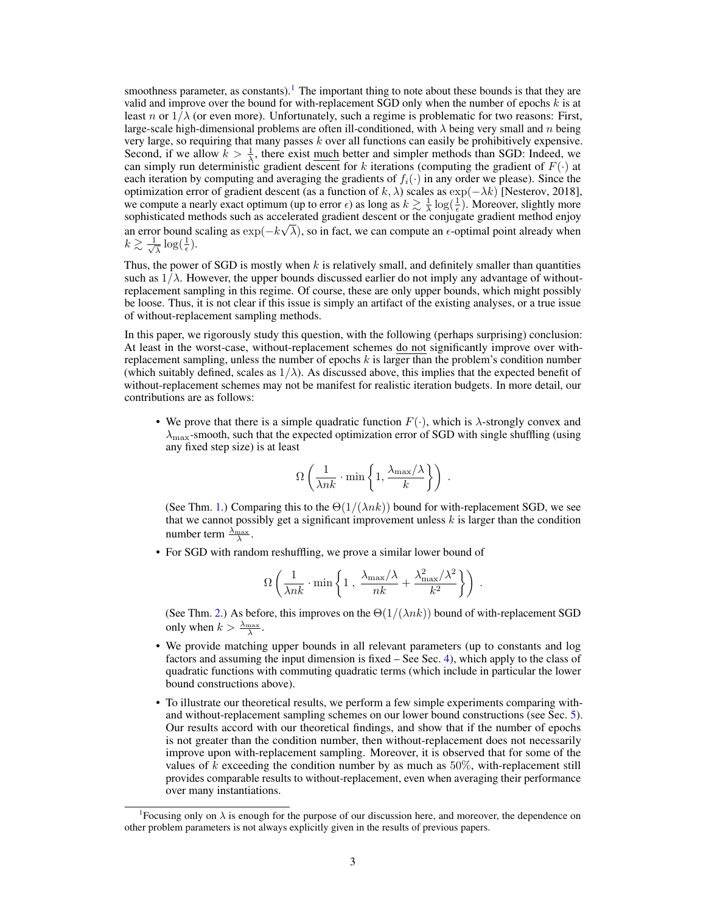smoothness parameter, as constants).<sup>1</sup> The important thing to note about these bounds is that they are valid and improve over the bound for with-replacement SGD only when the number of epochs  $k$  is at least n or  $1/\lambda$  (or even more). Unfortunately, such a regime is problematic for two reasons: First, large-scale high-dimensional problems are often ill-conditioned, with  $\lambda$  being very small and n being very large, so requiring that many passes  $k$  over all functions can easily be prohibitively expensive. Second, if we allow  $k > \frac{1}{\lambda}$ , there exist <u>much</u> better and simpler methods than SGD: Indeed, we can simply run deterministic gradient descent for k iterations (computing the gradient of  $F(\cdot)$  at each iteration by computing and averaging the gradients of  $f_i(\cdot)$  in any order we please). Since the optimization error of gradient descent (as a function of k,  $\lambda$ ) scales as  $\exp(-\lambda k)$  [Nesterov, 2018], we compute a nearly exact optimum (up to error  $\epsilon$ ) as long as  $k \gtrsim \frac{1}{\lambda} \log(\frac{1}{\epsilon})$ . Moreover, slightly more sophisticated methods such as accelerated gradient descent or the conjugate gradient method enjoy an error bound scaling as  $\exp(-k\sqrt{\lambda})$ , so in fact, we can compute an  $\epsilon$ -optimal point already when  $k \gtrsim \frac{1}{\sqrt{2}}$  $\frac{1}{\lambda} \log(\frac{1}{\epsilon}).$ 

Thus, the power of SGD is mostly when  $k$  is relatively small, and definitely smaller than quantities such as  $1/\lambda$ . However, the upper bounds discussed earlier do not imply any advantage of withoutreplacement sampling in this regime. Of course, these are only upper bounds, which might possibly be loose. Thus, it is not clear if this issue is simply an artifact of the existing analyses, or a true issue of without-replacement sampling methods.

In this paper, we rigorously study this question, with the following (perhaps surprising) conclusion: At least in the worst-case, without-replacement schemes do not significantly improve over withreplacement sampling, unless the number of epochs  $k$  is larger than the problem's condition number (which suitably defined, scales as  $1/\lambda$ ). As discussed above, this implies that the expected benefit of without-replacement schemes may not be manifest for realistic iteration budgets. In more detail, our contributions are as follows:

• We prove that there is a simple quadratic function  $F(\cdot)$ , which is  $\lambda$ -strongly convex and  $\lambda_{\text{max}}$ -smooth, such that the expected optimization error of SGD with single shuffling (using any fixed step size) is at least

$$
\Omega\left(\frac{1}{\lambda nk} \cdot \min\left\{1, \frac{\lambda_{\max}/\lambda}{k}\right\}\right) .
$$

(See Thm. 1.) Comparing this to the  $\Theta(1/(\lambda nk))$  bound for with-replacement SGD, we see that we cannot possibly get a significant improvement unless  $k$  is larger than the condition number term  $\frac{\lambda_{\text{max}}}{\lambda}$ .

• For SGD with random reshuffling, we prove a similar lower bound of

$$
\Omega\left(\frac{1}{\lambda nk}\cdot\min\left\{1\,,\,\frac{\lambda_{\max}/\lambda}{nk}+\frac{\lambda_{\max}^2/\lambda^2}{k^2}\right\}\right)\,.
$$

(See Thm. 2.) As before, this improves on the  $\Theta(1/(\lambda nk))$  bound of with-replacement SGD only when  $k > \frac{\lambda_{\max}}{\lambda}$ .

- We provide matching upper bounds in all relevant parameters (up to constants and log factors and assuming the input dimension is fixed – See Sec. 4), which apply to the class of quadratic functions with commuting quadratic terms (which include in particular the lower bound constructions above).
- To illustrate our theoretical results, we perform a few simple experiments comparing withand without-replacement sampling schemes on our lower bound constructions (see Sec. 5). Our results accord with our theoretical findings, and show that if the number of epochs is not greater than the condition number, then without-replacement does not necessarily improve upon with-replacement sampling. Moreover, it is observed that for some of the values of  $k$  exceeding the condition number by as much as 50%, with-replacement still provides comparable results to without-replacement, even when averaging their performance over many instantiations.

<sup>&</sup>lt;sup>1</sup> Focusing only on  $\lambda$  is enough for the purpose of our discussion here, and moreover, the dependence on other problem parameters is not always explicitly given in the results of previous papers.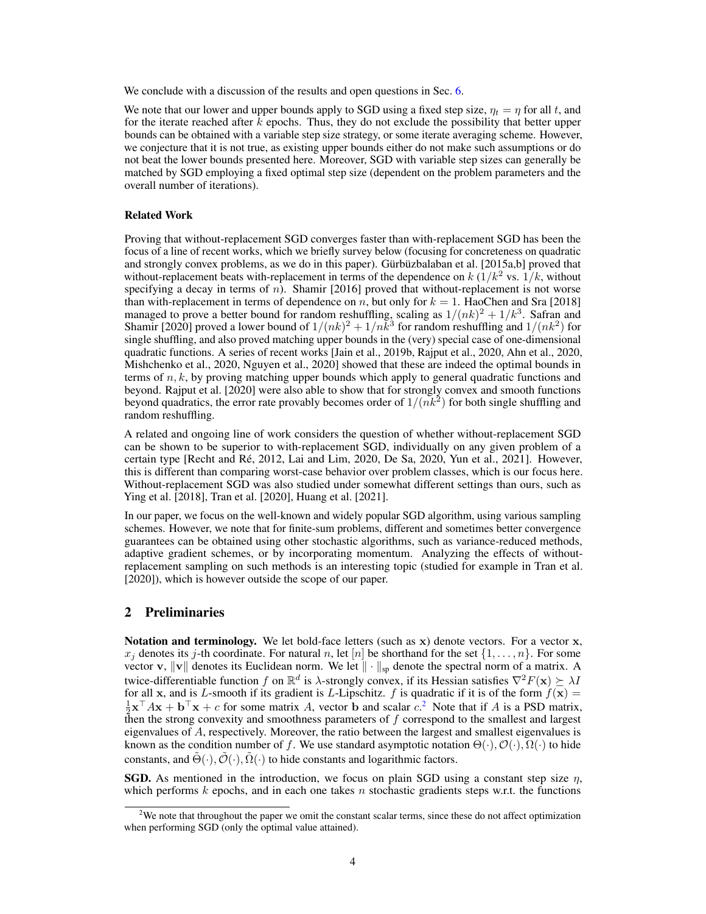We conclude with a discussion of the results and open questions in Sec. 6.

We note that our lower and upper bounds apply to SGD using a fixed step size,  $\eta_t = \eta$  for all t, and for the iterate reached after  $k$  epochs. Thus, they do not exclude the possibility that better upper bounds can be obtained with a variable step size strategy, or some iterate averaging scheme. However, we conjecture that it is not true, as existing upper bounds either do not make such assumptions or do not beat the lower bounds presented here. Moreover, SGD with variable step sizes can generally be matched by SGD employing a fixed optimal step size (dependent on the problem parameters and the overall number of iterations).

#### Related Work

Proving that without-replacement SGD converges faster than with-replacement SGD has been the focus of a line of recent works, which we briefly survey below (focusing for concreteness on quadratic and strongly convex problems, as we do in this paper). Gürbüzbalaban et al. [2015a,b] proved that without-replacement beats with-replacement in terms of the dependence on  $k(1/k^2 \text{ vs. } 1/k)$ , without specifying a decay in terms of n). Shamir  $[2016]$  proved that without-replacement is not worse than with-replacement in terms of dependence on n, but only for  $k = 1$ . HaoChen and Sra [2018] managed to prove a better bound for random reshuffling, scaling as  $1/(nk)^2 + 1/k^3$ . Safran and Shamir [2020] proved a lower bound of  $1/(nk)^2 + 1/nk^3$  for random reshuffling and  $1/(nk^2)$  for single shuffling, and also proved matching upper bounds in the (very) special case of one-dimensional quadratic functions. A series of recent works [Jain et al., 2019b, Rajput et al., 2020, Ahn et al., 2020, Mishchenko et al., 2020, Nguyen et al., 2020] showed that these are indeed the optimal bounds in terms of  $n, k$ , by proving matching upper bounds which apply to general quadratic functions and beyond. Rajput et al. [2020] were also able to show that for strongly convex and smooth functions beyond quadratics, the error rate provably becomes order of  $1/(nk^2)$  for both single shuffling and random reshuffling.

A related and ongoing line of work considers the question of whether without-replacement SGD can be shown to be superior to with-replacement SGD, individually on any given problem of a certain type [Recht and Ré, 2012, Lai and Lim, 2020, De Sa, 2020, Yun et al., 2021]. However, this is different than comparing worst-case behavior over problem classes, which is our focus here. Without-replacement SGD was also studied under somewhat different settings than ours, such as Ying et al. [2018], Tran et al. [2020], Huang et al. [2021].

In our paper, we focus on the well-known and widely popular SGD algorithm, using various sampling schemes. However, we note that for finite-sum problems, different and sometimes better convergence guarantees can be obtained using other stochastic algorithms, such as variance-reduced methods, adaptive gradient schemes, or by incorporating momentum. Analyzing the effects of withoutreplacement sampling on such methods is an interesting topic (studied for example in Tran et al. [2020]), which is however outside the scope of our paper.

# 2 Preliminaries

Notation and terminology. We let bold-face letters (such as  $x$ ) denote vectors. For a vector  $x$ ,  $x_j$  denotes its j-th coordinate. For natural n, let  $[n]$  be shorthand for the set  $\{1, \ldots, n\}$ . For some vector v, ||v|| denotes its Euclidean norm. We let || · ||<sub>sp</sub> denote the spectral norm of a matrix. A twice-differentiable function f on  $\mathbb{R}^d$  is  $\lambda$ -strongly convex, if its Hessian satisfies  $\nabla^2 F(\mathbf{x}) \succeq \lambda I$ for all x, and is L-smooth if its gradient is L-Lipschitz. f is quadratic if it is of the form  $f(x) =$  $\frac{1}{2} \mathbf{x}^\top A \mathbf{x} + \mathbf{b}^\top \mathbf{x} + c$  for some matrix A, vector b and scalar  $c^2$ . Note that if A is a PSD matrix, then the strong convexity and smoothness parameters of  $f$  correspond to the smallest and largest eigenvalues of A, respectively. Moreover, the ratio between the largest and smallest eigenvalues is known as the condition number of f. We use standard asymptotic notation  $\Theta(\cdot), \mathcal{O}(\cdot), \Omega(\cdot)$  to hide constants, and  $\tilde{\Theta}(\cdot), \tilde{\mathcal{O}}(\cdot), \tilde{\Omega}(\cdot)$  to hide constants and logarithmic factors.

**SGD.** As mentioned in the introduction, we focus on plain SGD using a constant step size  $\eta$ , which performs  $k$  epochs, and in each one takes  $n$  stochastic gradients steps w.r.t. the functions

<sup>&</sup>lt;sup>2</sup>We note that throughout the paper we omit the constant scalar terms, since these do not affect optimization when performing SGD (only the optimal value attained).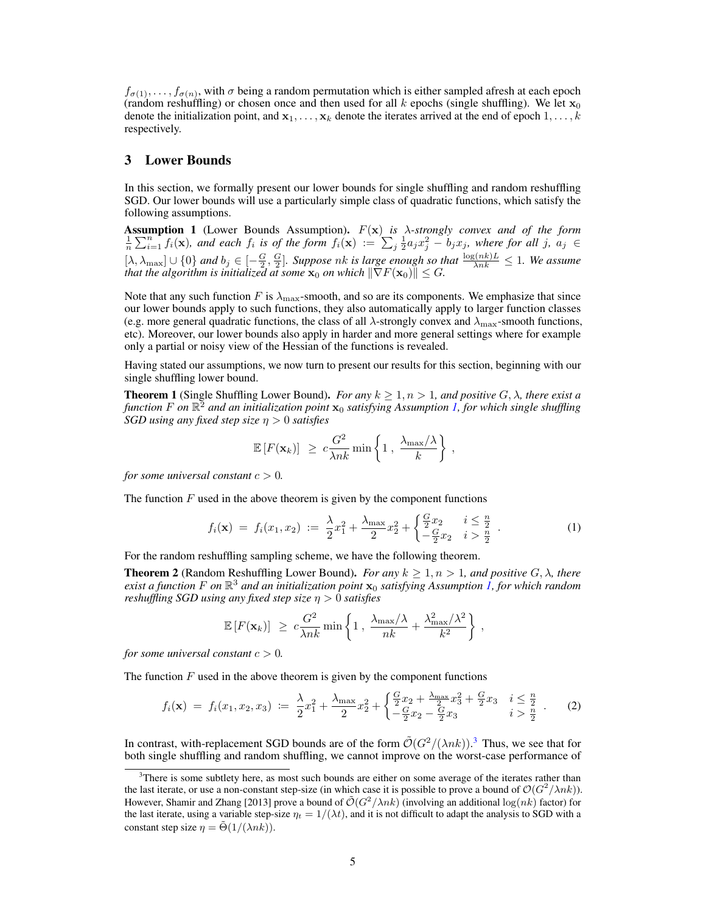$f_{\sigma(1)}, \ldots, f_{\sigma(n)}$ , with  $\sigma$  being a random permutation which is either sampled afresh at each epoch (random reshuffling) or chosen once and then used for all k epochs (single shuffling). We let  $x_0$ denote the initialization point, and  $x_1, \ldots, x_k$  denote the iterates arrived at the end of epoch  $1, \ldots, k$ respectively.

# 3 Lower Bounds

In this section, we formally present our lower bounds for single shuffling and random reshuffling SGD. Our lower bounds will use a particularly simple class of quadratic functions, which satisfy the following assumptions.

Assumption 1 (Lower Bounds Assumption). F(x) *is* λ*-strongly convex and of the form*  $\frac{1}{n}\sum_{i=1}^{n} f_i(\mathbf{x})$ , and each  $f_i$  is of the form  $f_i(\mathbf{x}) := \sum_{j=1}^{n} \frac{1}{2} a_j x_j^2 - b_j x_j$ , where for all j,  $a_j \in$  $[\lambda, \lambda_{\max}] \cup \{0\}$  and  $b_j \in [-\frac{G}{2}, \frac{G}{2}]$ . Suppose nk is large enough so that  $\frac{\log(nk)L}{\lambda nk} \leq 1$ . We assume *that the algorithm is initialized at some*  $\mathbf{x}_0$  *on which*  $\|\nabla F(\mathbf{x}_0)\| \leq G$ *.* 

Note that any such function F is  $\lambda_{\text{max}}$ -smooth, and so are its components. We emphasize that since our lower bounds apply to such functions, they also automatically apply to larger function classes (e.g. more general quadratic functions, the class of all  $\lambda$ -strongly convex and  $\lambda_{\text{max}}$ -smooth functions, etc). Moreover, our lower bounds also apply in harder and more general settings where for example only a partial or noisy view of the Hessian of the functions is revealed.

Having stated our assumptions, we now turn to present our results for this section, beginning with our single shuffling lower bound.

**Theorem 1** (Single Shuffling Lower Bound). *For any*  $k \geq 1, n > 1$ *, and positive*  $G, \lambda$ *, there exist a function* F *on* R <sup>2</sup> *and an initialization point* x<sup>0</sup> *satisfying Assumption 1, for which single shuffling SGD using any fixed step size* η > 0 *satisfies*

$$
\mathbb{E}\left[F(\mathbf{x}_k)\right] \geq c \frac{G^2}{\lambda nk} \min\left\{1 \, , \, \frac{\lambda_{\max}/\lambda}{k}\right\} \, ,
$$

*for some universal constant*  $c > 0$ *.* 

The function  $F$  used in the above theorem is given by the component functions

$$
f_i(\mathbf{x}) = f_i(x_1, x_2) := \frac{\lambda}{2} x_1^2 + \frac{\lambda_{\max}}{2} x_2^2 + \begin{cases} \frac{G}{2} x_2 & i \leq \frac{n}{2} \\ -\frac{G}{2} x_2 & i > \frac{n}{2} \end{cases} . \tag{1}
$$

,

For the random reshuffling sampling scheme, we have the following theorem.

**Theorem 2** (Random Reshuffling Lower Bound). *For any*  $k > 1, n > 1$ *, and positive*  $G, \lambda$ *, there exist a function* F *on* R <sup>3</sup> *and an initialization point* x<sup>0</sup> *satisfying Assumption 1, for which random reshuffling SGD using any fixed step size* η > 0 *satisfies*

$$
\mathbb{E}\left[F(\mathbf{x}_k)\right] \geq c \frac{G^2}{\lambda nk} \min\left\{1 \, , \, \frac{\lambda_{\max}/\lambda}{nk} + \frac{\lambda_{\max}^2/\lambda^2}{k^2}\right\}
$$

*for some universal constant*  $c > 0$ *.* 

The function  $F$  used in the above theorem is given by the component functions

$$
f_i(\mathbf{x}) = f_i(x_1, x_2, x_3) := \frac{\lambda}{2}x_1^2 + \frac{\lambda_{\max}}{2}x_2^2 + \begin{cases} \frac{G}{2}x_2 + \frac{\lambda_{\max}}{2}x_3^2 + \frac{G}{2}x_3 & i \leq \frac{n}{2} \\ -\frac{G}{2}x_2 - \frac{G}{2}x_3 & i > \frac{n}{2} \end{cases} . \tag{2}
$$

In contrast, with-replacement SGD bounds are of the form  $\tilde{\mathcal{O}}(G^2/(\lambda nk))$ .<sup>3</sup> Thus, we see that for both single shuffling and random shuffling, we cannot improve on the worst-case performance of

 $3$ There is some subtlety here, as most such bounds are either on some average of the iterates rather than the last iterate, or use a non-constant step-size (in which case it is possible to prove a bound of  $\mathcal{O}(G^2/\lambda nk)$ ). However, Shamir and Zhang [2013] prove a bound of  $\tilde{\mathcal{O}}(G^2/\lambda nk)$  (involving an additional  $\log(nk)$  factor) for the last iterate, using a variable step-size  $\eta_t = 1/(\lambda t)$ , and it is not difficult to adapt the analysis to SGD with a constant step size  $\eta = \Theta(1/(\lambda nk)).$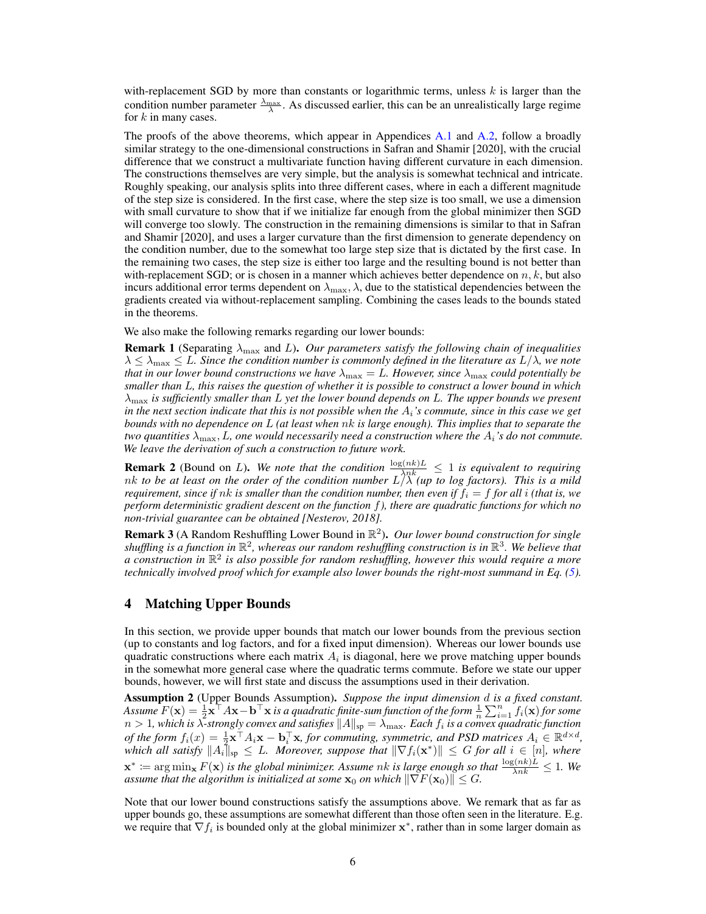with-replacement SGD by more than constants or logarithmic terms, unless  $k$  is larger than the condition number parameter  $\frac{\lambda_{\text{max}}}{\lambda}$ . As discussed earlier, this can be an unrealistically large regime for  $k$  in many cases.

The proofs of the above theorems, which appear in Appendices A.1 and A.2, follow a broadly similar strategy to the one-dimensional constructions in Safran and Shamir [2020], with the crucial difference that we construct a multivariate function having different curvature in each dimension. The constructions themselves are very simple, but the analysis is somewhat technical and intricate. Roughly speaking, our analysis splits into three different cases, where in each a different magnitude of the step size is considered. In the first case, where the step size is too small, we use a dimension with small curvature to show that if we initialize far enough from the global minimizer then SGD will converge too slowly. The construction in the remaining dimensions is similar to that in Safran and Shamir [2020], and uses a larger curvature than the first dimension to generate dependency on the condition number, due to the somewhat too large step size that is dictated by the first case. In the remaining two cases, the step size is either too large and the resulting bound is not better than with-replacement SGD; or is chosen in a manner which achieves better dependence on  $n, k$ , but also incurs additional error terms dependent on  $\lambda_{\text{max}}$ ,  $\lambda$ , due to the statistical dependencies between the gradients created via without-replacement sampling. Combining the cases leads to the bounds stated in the theorems.

We also make the following remarks regarding our lower bounds:

**Remark 1** (Separating  $\lambda_{\text{max}}$  and L). *Our parameters satisfy the following chain of inequalities*  $\lambda \leq \lambda_{\max} \leq L$ . Since the condition number is commonly defined in the literature as  $L/\lambda$ , we note *that in our lower bound constructions we have*  $\lambda_{\text{max}} = L$ *. However, since*  $\lambda_{\text{max}}$  *could potentially be smaller than* L*, this raises the question of whether it is possible to construct a lower bound in which* λmax *is sufficiently smaller than* L *yet the lower bound depends on* L*. The upper bounds we present in the next section indicate that this is not possible when the* Ai*'s commute, since in this case we get bounds with no dependence on* L *(at least when* nk *is large enough). This implies that to separate the two quantities*  $\lambda_{\max}$ , *L*, one would necessarily need a construction where the  $A_i$ 's do not commute. *We leave the derivation of such a construction to future work.*

**Remark 2** (Bound on L). We note that the condition  $\frac{\log(nk)L}{\lambda nk} \leq 1$  is equivalent to requiring nk *to be at least on the order of the condition number* L/λ *(up to log factors). This is a mild requirement, since if*  $nk$  *is smaller than the condition number, then even if*  $f_i = f$  *for all i (that is, we perform deterministic gradient descent on the function* f*), there are quadratic functions for which no non-trivial guarantee can be obtained [Nesterov, 2018].*

Remark 3 (A Random Reshuffling Lower Bound in R 2 ). *Our lower bound construction for single*  $s$ *huffling is a function in*  $\mathbb{R}^2$ , whereas our random reshuffling construction is in  $\mathbb{R}^3$ . We believe that *a construction in* R 2 *is also possible for random reshuffling, however this would require a more technically involved proof which for example also lower bounds the right-most summand in Eq. (5).*

# 4 Matching Upper Bounds

In this section, we provide upper bounds that match our lower bounds from the previous section (up to constants and log factors, and for a fixed input dimension). Whereas our lower bounds use quadratic constructions where each matrix  $A_i$  is diagonal, here we prove matching upper bounds in the somewhat more general case where the quadratic terms commute. Before we state our upper bounds, however, we will first state and discuss the assumptions used in their derivation.

Assumption 2 (Upper Bounds Assumption). *Suppose the input dimension* d *is a fixed constant.* Assume  $F(\mathbf{x}) = \frac{1}{2} \mathbf{x}^\top A \mathbf{x} - \mathbf{b}^\top \mathbf{x}$  is a quadratic finite-sum function of the form  $\frac{1}{n} \sum_{i=1}^n f_i(\mathbf{x})$  for some  $n>1$ , which is  $\lambda$ -strongly convex and satisfies  $\|A\|_{\rm sp}=\lambda_{\rm max}$ . Each  $f_i$  is a convex quadratic function *of the form*  $f_i(x) = \frac{1}{2} \mathbf{x}^\top A_i \mathbf{x} - \mathbf{b}_i^\top \mathbf{x}$ , for commuting, symmetric, and PSD matrices  $A_i \in \mathbb{R}^{d \times d}$ ,  $\hat{f}_k$  which all satisfy  $||A_i||_{\text{sp}} \leq L$ . Moreover, suppose that  $||\nabla f_i(\mathbf{x}^*)|| \leq G$  for all  $i \in [n]$ , where  $\mathbf{x}^* \coloneqq \arg\min_{\mathbf{x}} F(\mathbf{x})$  *is the global minimizer. Assume nk is large enough so that*  $\frac{\log(nk)L}{\lambda nk} \leq 1$ *. We assume that the algorithm is initialized at some*  $\mathbf{x}_0$  *on which*  $\|\nabla F(\mathbf{x}_0)\| \leq G$ .

Note that our lower bound constructions satisfy the assumptions above. We remark that as far as upper bounds go, these assumptions are somewhat different than those often seen in the literature. E.g. we require that  $\nabla f_i$  is bounded only at the global minimizer  $\mathbf{x}^*$ , rather than in some larger domain as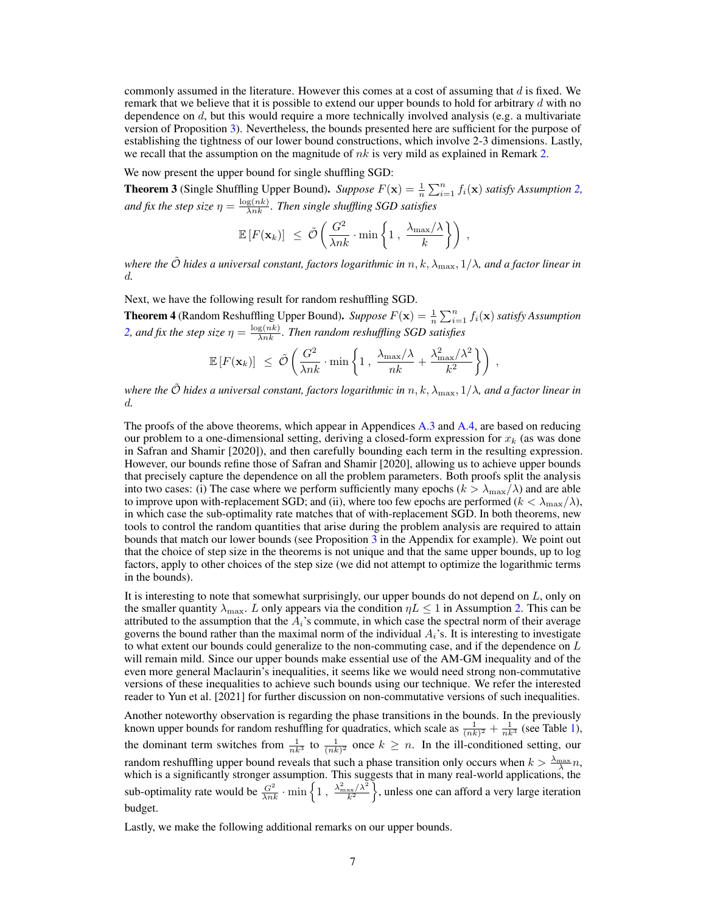commonly assumed in the literature. However this comes at a cost of assuming that  $d$  is fixed. We remark that we believe that it is possible to extend our upper bounds to hold for arbitrary d with no dependence on  $d$ , but this would require a more technically involved analysis (e.g. a multivariate version of Proposition 3). Nevertheless, the bounds presented here are sufficient for the purpose of establishing the tightness of our lower bound constructions, which involve 2-3 dimensions. Lastly, we recall that the assumption on the magnitude of  $nk$  is very mild as explained in Remark 2.

We now present the upper bound for single shuffling SGD:

**Theorem 3** (Single Shuffling Upper Bound). *Suppose*  $F(\mathbf{x}) = \frac{1}{n} \sum_{i=1}^{n} f_i(\mathbf{x})$  *satisfy Assumption 2,* and fix the step size  $\eta = \frac{\log(nk)}{\lambda nk}$ . Then single shuffling SGD satisfies

$$
\mathbb{E}\left[F(\mathbf{x}_k)\right] \leq \tilde{\mathcal{O}}\left(\frac{G^2}{\lambda nk} \cdot \min\left\{1, \frac{\lambda_{\max}/\lambda}{k}\right\}\right),\,
$$

*where the*  $\tilde{\mathcal{O}}$  *hides a universal constant, factors logarithmic in* n, k,  $\lambda_{\max}$ , 1/ $\lambda$ , and a factor linear in d*.*

Next, we have the following result for random reshuffling SGD.

**Theorem 4** (Random Reshuffling Upper Bound). *Suppose*  $F(\mathbf{x}) = \frac{1}{n} \sum_{i=1}^{n} f_i(\mathbf{x})$  *satisfy Assumption* 2, and fix the step size  $\eta = \frac{\log(nk)}{\lambda nk}$ . Then random reshuffling SGD satisfies

$$
\mathbb{E}\left[F(\mathbf{x}_k)\right] \leq \tilde{\mathcal{O}}\left(\frac{G^2}{\lambda nk} \cdot \min\left\{1, \frac{\lambda_{\max}/\lambda}{nk} + \frac{\lambda_{\max}^2/\lambda^2}{k^2}\right\}\right),
$$

*where the*  $\tilde{O}$  *hides a universal constant, factors logarithmic in*  $n, k, \lambda_{\max}, 1/\lambda$ *, and a factor linear in* d*.*

The proofs of the above theorems, which appear in Appendices A.3 and A.4, are based on reducing our problem to a one-dimensional setting, deriving a closed-form expression for  $x_k$  (as was done in Safran and Shamir [2020]), and then carefully bounding each term in the resulting expression. However, our bounds refine those of Safran and Shamir [2020], allowing us to achieve upper bounds that precisely capture the dependence on all the problem parameters. Both proofs split the analysis into two cases: (i) The case where we perform sufficiently many epochs  $(k > \lambda_{\text{max}}/\lambda)$  and are able to improve upon with-replacement SGD; and (ii), where too few epochs are performed  $(k < \lambda_{\text{max}}/\lambda)$ , in which case the sub-optimality rate matches that of with-replacement SGD. In both theorems, new tools to control the random quantities that arise during the problem analysis are required to attain bounds that match our lower bounds (see Proposition 3 in the Appendix for example). We point out that the choice of step size in the theorems is not unique and that the same upper bounds, up to log factors, apply to other choices of the step size (we did not attempt to optimize the logarithmic terms in the bounds).

It is interesting to note that somewhat surprisingly, our upper bounds do not depend on  $L$ , only on the smaller quantity  $\lambda_{\text{max}}$ . L only appears via the condition  $\eta L \leq 1$  in Assumption 2. This can be attributed to the assumption that the  $A_i$ 's commute, in which case the spectral norm of their average governs the bound rather than the maximal norm of the individual  $A_i$ 's. It is interesting to investigate to what extent our bounds could generalize to the non-commuting case, and if the dependence on  $L$ will remain mild. Since our upper bounds make essential use of the AM-GM inequality and of the even more general Maclaurin's inequalities, it seems like we would need strong non-commutative versions of these inequalities to achieve such bounds using our technique. We refer the interested reader to Yun et al. [2021] for further discussion on non-commutative versions of such inequalities.

Another noteworthy observation is regarding the phase transitions in the bounds. In the previously known upper bounds for random reshuffling for quadratics, which scale as  $\frac{1}{(nk)^2} + \frac{1}{nk^3}$  (see Table 1), the dominant term switches from  $\frac{1}{nk^3}$  to  $\frac{1}{(nk)^2}$  once  $k \geq n$ . In the ill-conditioned setting, our random reshuffling upper bound reveals that such a phase transition only occurs when  $k > \frac{\lambda_{\max}}{\lambda} n$ , which is a significantly stronger assumption. This suggests that in many real-world applications, the sub-optimality rate would be  $\frac{G^2}{\lambda nk} \cdot \min\left\{1, \frac{\lambda_{\max}^2/\lambda^2}{k^2}\right\}$ , unless one can afford a very large iteration budget.

Lastly, we make the following additional remarks on our upper bounds.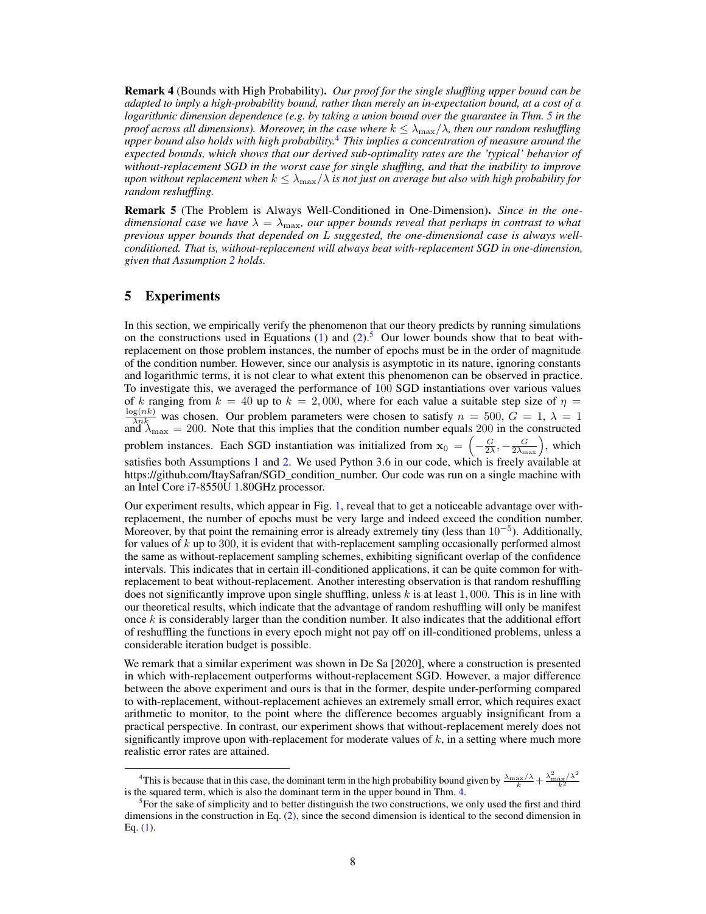Remark 4 (Bounds with High Probability). *Our proof for the single shuffling upper bound can be adapted to imply a high-probability bound, rather than merely an in-expectation bound, at a cost of a logarithmic dimension dependence (e.g. by taking a union bound over the guarantee in Thm. 5 in the proof across all dimensions). Moreover, in the case where*  $k \leq \lambda_{\max}/\lambda$ , then our random reshuffling *upper bound also holds with high probability.*4 *This implies a concentration of measure around the expected bounds, which shows that our derived sub-optimality rates are the 'typical' behavior of without-replacement SGD in the worst case for single shuffling, and that the inability to improve upon without replacement when*  $k \leq \lambda_{\text{max}}/\lambda$  *is not just on average but also with high probability for random reshuffling.*

Remark 5 (The Problem is Always Well-Conditioned in One-Dimension). *Since in the onedimensional case we have*  $\lambda = \lambda_{\text{max}}$ *, our upper bounds reveal that perhaps in contrast to what previous upper bounds that depended on* L *suggested, the one-dimensional case is always wellconditioned. That is, without-replacement will always beat with-replacement SGD in one-dimension, given that Assumption 2 holds.*

#### 5 Experiments

In this section, we empirically verify the phenomenon that our theory predicts by running simulations on the constructions used in Equations (1) and (2).<sup>5</sup> Our lower bounds show that to beat withreplacement on those problem instances, the number of epochs must be in the order of magnitude of the condition number. However, since our analysis is asymptotic in its nature, ignoring constants and logarithmic terms, it is not clear to what extent this phenomenon can be observed in practice. To investigate this, we averaged the performance of 100 SGD instantiations over various values of k ranging from  $k = 40$  up to  $k = 2,000$ , where for each value a suitable step size of  $\eta =$  $\frac{\log(n k)}{\lambda n k}$  was chosen. Our problem parameters were chosen to satisfy  $n = 500$ ,  $G = 1$ ,  $\lambda = 1$ and  $\lambda_{\text{max}} = 200$ . Note that this implies that the condition number equals 200 in the constructed problem instances. Each SGD instantiation was initialized from  $x_0 = \left(-\frac{G}{2\lambda}, -\frac{G}{2\lambda_{\max}}\right)$ , which satisfies both Assumptions 1 and 2. We used Python 3.6 in our code, which is freely available at https://github.com/ItaySafran/SGD\_condition\_number. Our code was run on a single machine with an Intel Core i7-8550U 1.80GHz processor.

Our experiment results, which appear in Fig. 1, reveal that to get a noticeable advantage over withreplacement, the number of epochs must be very large and indeed exceed the condition number. Moreover, by that point the remaining error is already extremely tiny (less than 10<sup>−</sup><sup>5</sup> ). Additionally, for values of  $k$  up to 300, it is evident that with-replacement sampling occasionally performed almost the same as without-replacement sampling schemes, exhibiting significant overlap of the confidence intervals. This indicates that in certain ill-conditioned applications, it can be quite common for withreplacement to beat without-replacement. Another interesting observation is that random reshuffling does not significantly improve upon single shuffling, unless  $k$  is at least 1,000. This is in line with our theoretical results, which indicate that the advantage of random reshuffling will only be manifest once  $k$  is considerably larger than the condition number. It also indicates that the additional effort of reshuffling the functions in every epoch might not pay off on ill-conditioned problems, unless a considerable iteration budget is possible.

We remark that a similar experiment was shown in De Sa [2020], where a construction is presented in which with-replacement outperforms without-replacement SGD. However, a major difference between the above experiment and ours is that in the former, despite under-performing compared to with-replacement, without-replacement achieves an extremely small error, which requires exact arithmetic to monitor, to the point where the difference becomes arguably insignificant from a practical perspective. In contrast, our experiment shows that without-replacement merely does not significantly improve upon with-replacement for moderate values of  $k$ , in a setting where much more realistic error rates are attained.

<sup>&</sup>lt;sup>4</sup>This is because that in this case, the dominant term in the high probability bound given by  $\frac{\lambda_{\max}/\lambda}{k} + \frac{\lambda_{\max}^2/\lambda^2}{k^2}$ is the squared term, which is also the dominant term in the upper bound in Thm. 4.

<sup>&</sup>lt;sup>5</sup> For the sake of simplicity and to better distinguish the two constructions, we only used the first and third dimensions in the construction in Eq. (2), since the second dimension is identical to the second dimension in Eq. (1).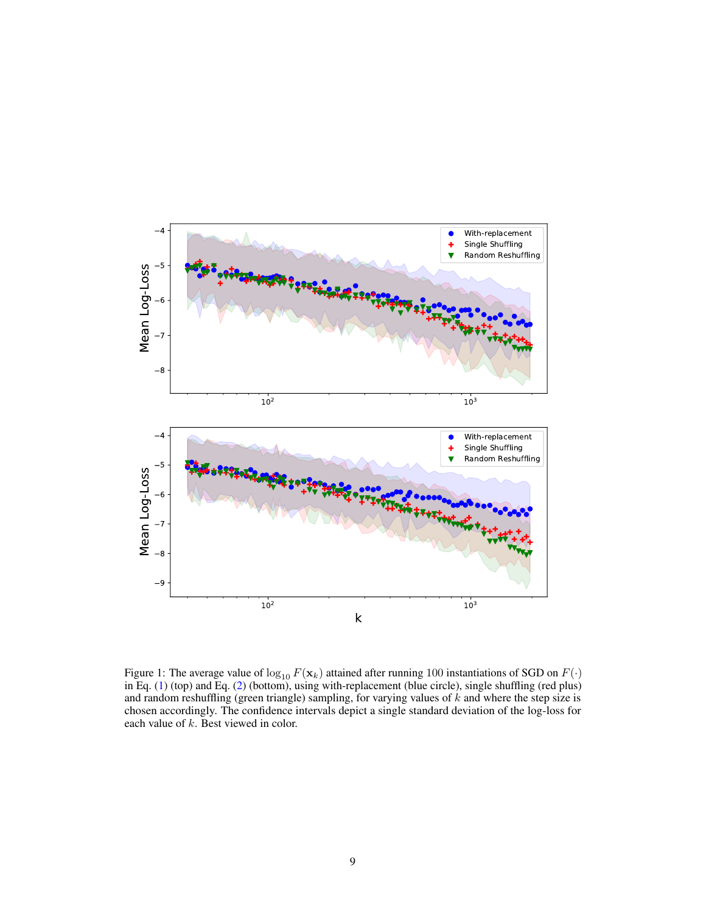

Figure 1: The average value of  $\log_{10} F(\mathbf{x}_k)$  attained after running 100 instantiations of SGD on  $F(\cdot)$ in Eq. (1) (top) and Eq. (2) (bottom), using with-replacement (blue circle), single shuffling (red plus) and random reshuffling (green triangle) sampling, for varying values of  $k$  and where the step size is chosen accordingly. The confidence intervals depict a single standard deviation of the log-loss for each value of  $k$ . Best viewed in color.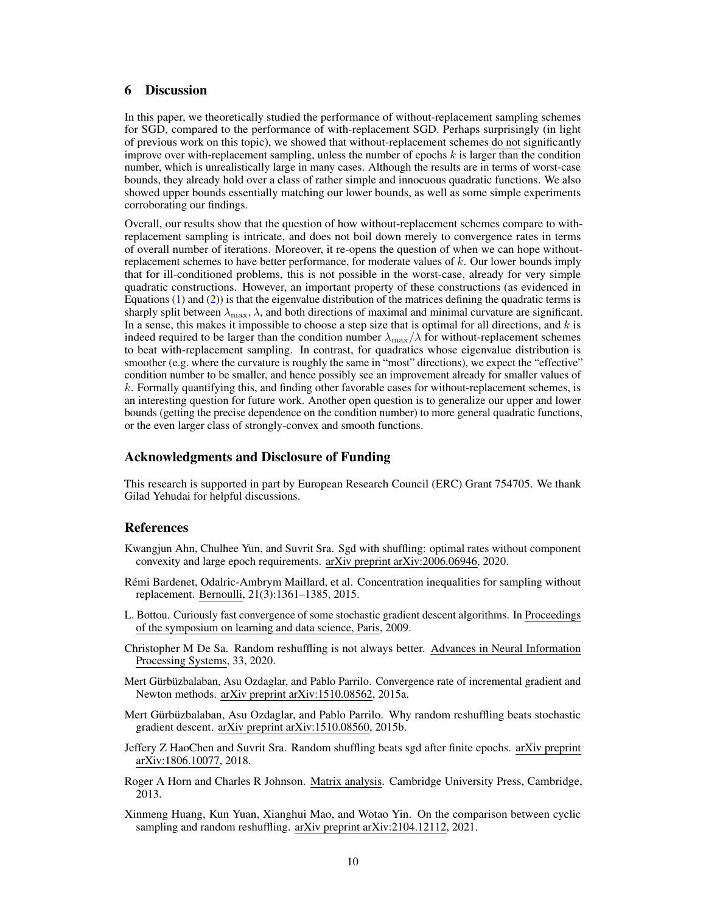# 6 Discussion

In this paper, we theoretically studied the performance of without-replacement sampling schemes for SGD, compared to the performance of with-replacement SGD. Perhaps surprisingly (in light of previous work on this topic), we showed that without-replacement schemes do not significantly improve over with-replacement sampling, unless the number of epochs  $k$  is larger than the condition number, which is unrealistically large in many cases. Although the results are in terms of worst-case bounds, they already hold over a class of rather simple and innocuous quadratic functions. We also showed upper bounds essentially matching our lower bounds, as well as some simple experiments corroborating our findings.

Overall, our results show that the question of how without-replacement schemes compare to withreplacement sampling is intricate, and does not boil down merely to convergence rates in terms of overall number of iterations. Moreover, it re-opens the question of when we can hope withoutreplacement schemes to have better performance, for moderate values of  $k$ . Our lower bounds imply that for ill-conditioned problems, this is not possible in the worst-case, already for very simple quadratic constructions. However, an important property of these constructions (as evidenced in Equations  $(1)$  and  $(2)$ ) is that the eigenvalue distribution of the matrices defining the quadratic terms is sharply split between  $\lambda_{\text{max}}$ ,  $\lambda$ , and both directions of maximal and minimal curvature are significant. In a sense, this makes it impossible to choose a step size that is optimal for all directions, and  $k$  is indeed required to be larger than the condition number  $\lambda_{\text{max}}/\lambda$  for without-replacement schemes to beat with-replacement sampling. In contrast, for quadratics whose eigenvalue distribution is smoother (e.g. where the curvature is roughly the same in "most" directions), we expect the "effective" condition number to be smaller, and hence possibly see an improvement already for smaller values of  $k$ . Formally quantifying this, and finding other favorable cases for without-replacement schemes, is an interesting question for future work. Another open question is to generalize our upper and lower bounds (getting the precise dependence on the condition number) to more general quadratic functions, or the even larger class of strongly-convex and smooth functions.

# Acknowledgments and Disclosure of Funding

This research is supported in part by European Research Council (ERC) Grant 754705. We thank Gilad Yehudai for helpful discussions.

#### References

- Kwangjun Ahn, Chulhee Yun, and Suvrit Sra. Sgd with shuffling: optimal rates without component convexity and large epoch requirements. arXiv preprint arXiv:2006.06946, 2020.
- Rémi Bardenet, Odalric-Ambrym Maillard, et al. Concentration inequalities for sampling without replacement. Bernoulli, 21(3):1361–1385, 2015.
- L. Bottou. Curiously fast convergence of some stochastic gradient descent algorithms. In Proceedings of the symposium on learning and data science, Paris, 2009.
- Christopher M De Sa. Random reshuffling is not always better. Advances in Neural Information Processing Systems, 33, 2020.
- Mert Gürbüzbalaban, Asu Ozdaglar, and Pablo Parrilo. Convergence rate of incremental gradient and Newton methods. arXiv preprint arXiv:1510.08562, 2015a.
- Mert Gürbüzbalaban, Asu Ozdaglar, and Pablo Parrilo. Why random reshuffling beats stochastic gradient descent. arXiv preprint arXiv:1510.08560, 2015b.
- Jeffery Z HaoChen and Suvrit Sra. Random shuffling beats sgd after finite epochs. arXiv preprint arXiv:1806.10077, 2018.
- Roger A Horn and Charles R Johnson. Matrix analysis. Cambridge University Press, Cambridge, 2013.
- Xinmeng Huang, Kun Yuan, Xianghui Mao, and Wotao Yin. On the comparison between cyclic sampling and random reshuffling. arXiv preprint arXiv:2104.12112, 2021.